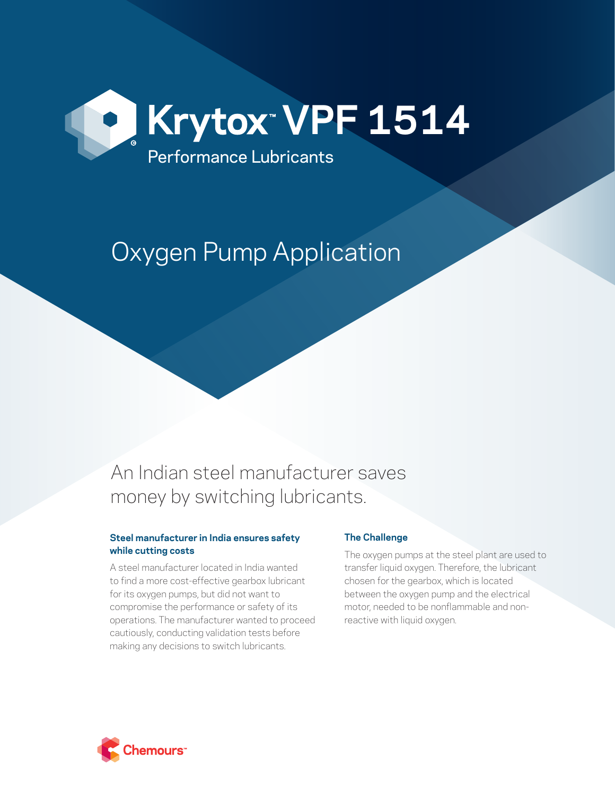

# Oxygen Pump Application

## An Indian steel manufacturer saves money by switching lubricants.

#### **Steel manufacturer in India ensures safety while cutting costs**

A steel manufacturer located in India wanted to find a more cost-effective gearbox lubricant for its oxygen pumps, but did not want to compromise the performance or safety of its operations. The manufacturer wanted to proceed cautiously, conducting validation tests before making any decisions to switch lubricants.

### **The Challenge**

The oxygen pumps at the steel plant are used to transfer liquid oxygen. Therefore, the lubricant chosen for the gearbox, which is located between the oxygen pump and the electrical motor, needed to be nonflammable and nonreactive with liquid oxygen.